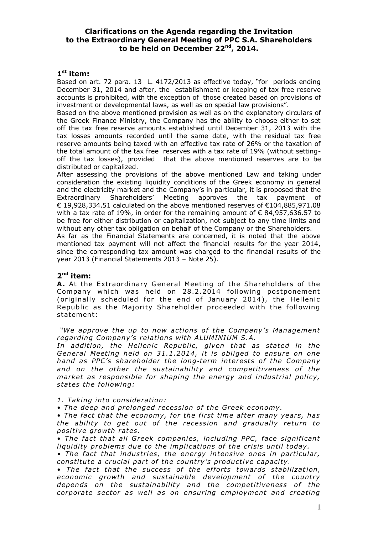# **Clarifications on the Agenda regarding the Invitation to the Extraordinary General Meeting of PPC S.A. Shareholders to be held on December 22nd , 2014.**

## **1 st item:**

Based on art. 72 para. 13 L. 4172/2013 as effective today, "for periods ending December 31, 2014 and after, the establishment or keeping of tax free reserve accounts is prohibited, with the exception of those created based on provisions of investment or developmental laws, as well as on special law provisions".

Based on the above mentioned provision as well as on the explanatory circulars of the Greek Finance Ministry, the Company has the ability to choose either to set off the tax free reserve amounts established until December 31, 2013 with the tax losses amounts recorded until the same date, with the residual tax free reserve amounts being taxed with an effective tax rate of 26% or the taxation of the total amount of the tax free reserves with a tax rate of 19% (without settingoff the tax losses), provided that the above mentioned reserves are to be distributed or capitalized.

After assessing the provisions of the above mentioned Law and taking under consideration the existing liquidity conditions of the Greek economy in general and the electricity market and the Company's in particular, it is proposed that the Extraordinary Shareholders' Meeting approves the tax payment of € 19,928,334.51 calculated on the above mentioned reserves of €104,885,971.08 with a tax rate of 19%, in order for the remaining amount of  $\epsilon$  84,957,636.57 to be free for either distribution or capitalization, not subject to any time limits and without any other tax obligation on behalf of the Company or the Shareholders.

As far as the Financial Statements are concerned, it is noted that the above mentioned tax payment will not affect the financial results for the year 2014, since the corresponding tax amount was charged to the financial results of the year 2013 (Financial Statements 2013 – Note 25).

## **2 nd item:**

**A.** At the Extraordinary General Meeting of the Shareholders of the Company which was held on 28.2.2014 following postponement (originally scheduled for the end of January 2014), the Hellenic Republic as the Majority Shareholder proceeded with the following statement:

*"We approve the up to now actions of the Company's Management* regarding Company's relations with ALUMINIUM S.A.

In addition, the Hellenic Republic, given that as stated in the *General Meeting held on 31 .1 .2014 , i t i s obliged to ensure on one hand as PPC's shareholder the long‐term in terest s of the Company*  and on the other the sustainability and competitiveness of the *market as responsible for shaping the energy and industrial policy, states the following:* 

#### *1 . Taking into consideration:*

*• The deep and prolonged recession of the Greek economy .* 

• The fact that the economy, for the first time after many years, has the ability to get out of the recession and gradually return to *posi tive growth rates .* 

• The fact that all Greek companies, including PPC, face significant liquidity problems due to the implications of the crisis until today.

• The fact that industries, the energy intensive ones in particular, *constitute a crucial part of the country's productive capacity.* 

• The fact that the success of the efforts towards stabilization, *economic growth and sustainable development of the country* depends on the sustainability and the competitiveness of the *corporate sector as well as on ensuring employment and creating*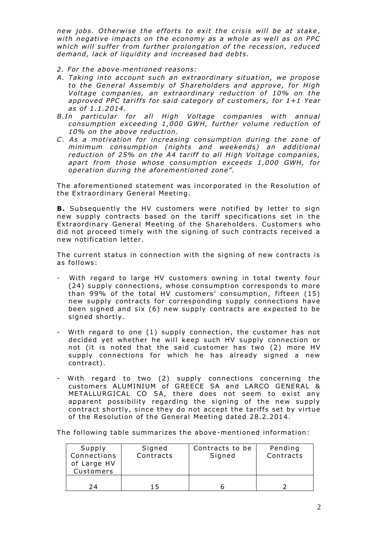new jobs. Otherwise the efforts to exit the crisis will be at stake, with negative impacts on the economy as a whole as well as on PPC which will suffer from further prolongation of the recession, reduced demand, lack of liquidity and increased bad debts.

- *2 . For the above‐mentioned reasons:*
- A. Taking into account such an extraordinary situation, we propose *to the General Assembly of Shareholders and approve , for High Voltage companies, an extraordinary reduction of 10% on the* approved PPC tariffs for said category of customers, for 1+1 Year *as of 1 .1 .2014 .*
- B.In particular for all High Voltage companies with annual *consumption exceeding 1 ,000 GWH , further volume reduction of 10% on the above reduction .*
- *C. As a motivation for increasing consumption during the zone of minimum consumption (nights and weekends) an additional* reduction of 25% on the A4 tariff to all High Voltage companies, apart from those whose consumption exceeds 1,000 GWH, for *operation during the a forementioned zone".*

The aforementioned statement was incorporated in the Resolution of the Extraordinary General Meeting.

**B.** Subsequently the HV customers were notified by letter to sign new supply contracts based on the tariff specifications set in the Extraordinary General Meeting of the Shareholders. Customers who did not proceed timely with the signing of such contracts received a new notification letter.

The current status in connection with the signing of new contracts is as follows:

- With regard to large HV customers owning in total twenty four (24) supply connections, whose consumption corresponds to more than 99% of the total HV customers' consumption, fifteen (15) new supply contracts for corresponding supply connections have been signed and  $six(6)$  new supply contracts are expected to be signed shortly.
- With regard to one (1) supply connection, the customer has not decided yet whether he will keep such HV supply connection or not (it is noted that the said customer has two (2) more HV supply connections for which he has already signed a new contract).
- With regard to two (2) supply connections concerning the customers ALUMINIUM of GREECE SA and LARCO GENERAL & METALLURGICAL CO SA, there does not seem to exist any apparent possibility regarding the signing of the new supply contract shortly, since they do not accept the tariffs set by virtue of the Resolution of the General Meeting dated 28 .2 .2014 .

The following table summarizes the above-mentioned information:

| Supply<br>Connections<br>of Large HV<br>Customers | Signed<br>Contracts | Contracts to be<br>Signed | Pending<br>Contracts |
|---------------------------------------------------|---------------------|---------------------------|----------------------|
| 24                                                |                     |                           |                      |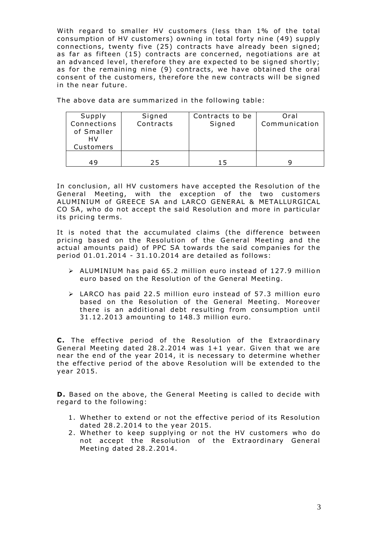With regard to smaller HV customers (less than 1% of the total consumption of HV customers) owning in total forty nine (49) supply connections, twenty five (25) contracts have already been signed; as far as fifteen  $(15)$  contracts are concerned, negotiations are at an advanced level, therefore they are expected to be signed shortly; as for the remaining nine (9) contracts, we have obtained the oral consent of the customers, therefore the new contracts will be signed in the near future.

The above data are summarized in the following table:

| Supply                    | Signed    | Contracts to be | Oral          |
|---------------------------|-----------|-----------------|---------------|
| Connections<br>of Smaller | Contracts | Signed          | Communication |
| HV                        |           |                 |               |
| Customers                 |           |                 |               |
|                           |           |                 |               |
| 49                        | 25        | 15              |               |

In conclusion, all HV customers have accepted the Resolution of the General Meeting, with the exception of the two customers ALUMINIUM of GREECE SA and LARCO GENERAL & METALLURGICAL CO SA, who do not accept the said Resolution and more in particular its pricing terms.

It is noted that the accumulated claims (the difference between pricing based on the Resolution of the General Meeting and the actual amounts paid) of PPC SA towards the said companies for the period 01 .01 .2014 - 31 .10 .2014 are detailed as follows:

- $\triangleright$  ALUMINIUM has paid 65.2 million euro instead of 127.9 million euro based on the Resolution of the General Meeting.
- $\triangleright$  LARCO has paid 22.5 million euro instead of 57.3 million euro based on the Resolution of the General Meeting. Moreover there is an additional debt resulting from consumption until 31 .12 .2013 amoun ting to 148 .3 million euro.

**C.** The effective period of the Resolution of the Extraordinary General Meeting dated 28.2.2014 was  $1+1$  year. Given that we are near the end of the year 2014 , it is necessary to determine whether the effective period of the above Resolution will be extended to the year 2015 .

**D.** Based on the above, the General Meeting is called to decide with regard to the following:

- 1. Whether to extend or not the effective period of its Resolution dated 28 .2 .2014 to the year 2015 .
- 2 . Whether to keep supplying or not the HV customers who do not accept the Resolution of the Extraordinary General Meeting dated 28 .2 .2014 .